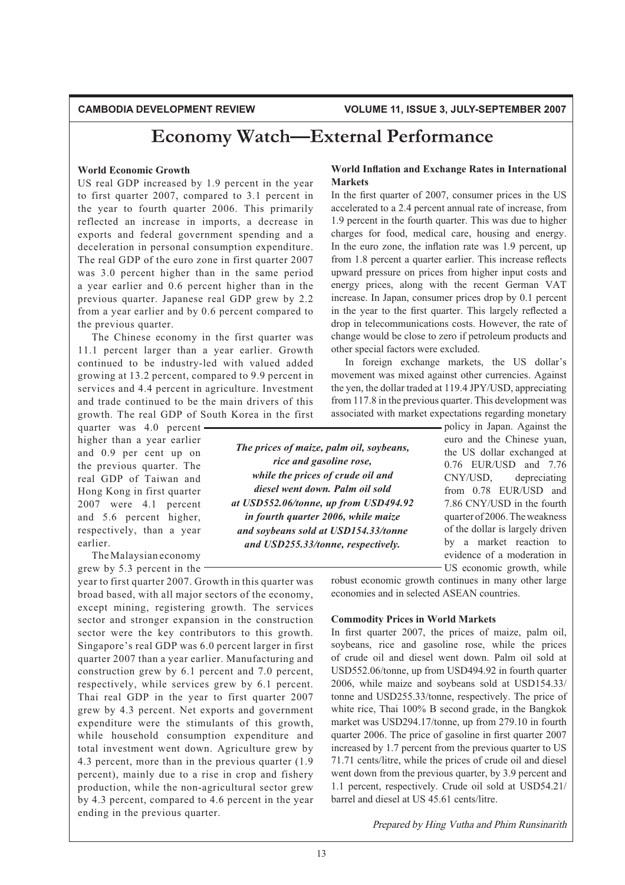# **Economy Watch—External Performance**

*The prices of maize, palm oil, soybeans, rice and gasoline rose, while the prices of crude oil and diesel went down. Palm oil sold at USD552.06/tonne, up from USD494.92 in fourth quarter 2006, while maize and soybeans sold at USD154.33/tonne and USD255.33/tonne, respectively.* 

#### **World Economic Growth**

US real GDP increased by 1.9 percent in the year to first quarter 2007, compared to 3.1 percent in the year to fourth quarter 2006. This primarily reflected an increase in imports, a decrease in exports and federal government spending and a deceleration in personal consumption expenditure. The real GDP of the euro zone in first quarter 2007 was 3.0 percent higher than in the same period a year earlier and 0.6 percent higher than in the previous quarter. Japanese real GDP grew by 2.2 from a year earlier and by 0.6 percent compared to the previous quarter.

The Chinese economy in the first quarter was 11.1 percent larger than a year earlier. Growth continued to be industry-led with valued added growing at 13.2 percent, compared to 9.9 percent in services and 4.4 percent in agriculture. Investment and trade continued to be the main drivers of this growth. The real GDP of South Korea in the first

quarter was 4.0 percent higher than a year earlier and 0.9 per cent up on the previous quarter. The real GDP of Taiwan and Hong Kong in first quarter 2007 were 4.1 percent and 5.6 percent higher, respectively, than a year earlier.

The Malaysian economy grew by 5.3 percent in the

year to first quarter 2007. Growth in this quarter was broad based, with all major sectors of the economy, except mining, registering growth. The services sector and stronger expansion in the construction sector were the key contributors to this growth. Singapore's real GDP was 6.0 percent larger in first quarter 2007 than a year earlier. Manufacturing and construction grew by 6.1 percent and 7.0 percent, respectively, while services grew by 6.1 percent. Thai real GDP in the year to first quarter 2007 grew by 4.3 percent. Net exports and government expenditure were the stimulants of this growth, while household consumption expenditure and total investment went down. Agriculture grew by 4.3 percent, more than in the previous quarter (1.9 percent), mainly due to a rise in crop and fishery production, while the non-agricultural sector grew by 4.3 percent, compared to 4.6 percent in the year ending in the previous quarter.

## **World Inflation and Exchange Rates in International Markets**

In the first quarter of 2007, consumer prices in the US accelerated to a 2.4 percent annual rate of increase, from 1.9 percent in the fourth quarter. This was due to higher charges for food, medical care, housing and energy. In the euro zone, the inflation rate was  $1.9$  percent, up from 1.8 percent a quarter earlier. This increase reflects upward pressure on prices from higher input costs and energy prices, along with the recent German VAT increase. In Japan, consumer prices drop by 0.1 percent in the year to the first quarter. This largely reflected a drop in telecommunications costs. However, the rate of change would be close to zero if petroleum products and other special factors were excluded.

In foreign exchange markets, the US dollar's movement was mixed against other currencies. Against the yen, the dollar traded at 119.4 JPY/USD, appreciating from 117.8 in the previous quarter. This development was associated with market expectations regarding monetary

> policy in Japan. Against the euro and the Chinese yuan, the US dollar exchanged at 0.76 EUR/USD and 7.76 CNY/USD, depreciating from 0.78 EUR/USD and 7.86 CNY/USD in the fourth quarter of 2006. The weakness of the dollar is largely driven by a market reaction to evidence of a moderation in US economic growth, while

robust economic growth continues in many other large economies and in selected ASEAN countries.

### **Commodity Prices in World Markets**

In first quarter 2007, the prices of maize, palm oil, soybeans, rice and gasoline rose, while the prices of crude oil and diesel went down. Palm oil sold at USD552.06/tonne, up from USD494.92 in fourth quarter 2006, while maize and soybeans sold at USD154.33/ tonne and USD255.33/tonne, respectively. The price of white rice, Thai 100% B second grade, in the Bangkok market was USD294.17/tonne, up from 279.10 in fourth quarter 2006. The price of gasoline in first quarter 2007 increased by 1.7 percent from the previous quarter to US 71.71 cents/litre, while the prices of crude oil and diesel went down from the previous quarter, by 3.9 percent and 1.1 percent, respectively. Crude oil sold at USD54.21/ barrel and diesel at US 45.61 cents/litre.

Prepared by Hing Vutha and Phim Runsinarith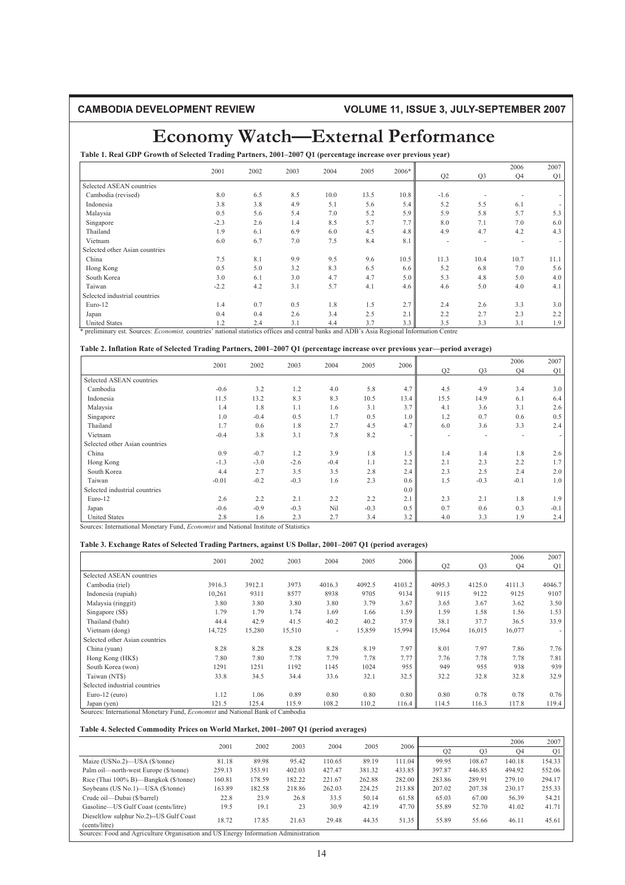### **CAMBODIA DEVELOPMENT REVIEW VOLUME 11, ISSUE 3, JULY-SEPTEMBER 2007**

# **Economy Watch—External Performance**

**Table 1. Real GDP Growth of Selected Trading Partners, 2001–2007 Q1 (percentage increase over previous year)** 

|                                                                                                                                                    | 2001   | 2002 | 2003 | 2004 | 2005 | 2006* |        |                | 2006                     | 2007 |
|----------------------------------------------------------------------------------------------------------------------------------------------------|--------|------|------|------|------|-------|--------|----------------|--------------------------|------|
|                                                                                                                                                    |        |      |      |      |      |       | Q2     | Q <sub>3</sub> | Q <sub>4</sub>           | Q1   |
| Selected ASEAN countries                                                                                                                           |        |      |      |      |      |       |        |                |                          |      |
| Cambodia (revised)                                                                                                                                 | 8.0    | 6.5  | 8.5  | 10.0 | 13.5 | 10.8  | $-1.6$ |                |                          |      |
| Indonesia                                                                                                                                          | 3.8    | 3.8  | 4.9  | 5.1  | 5.6  | 5.4   | 5.2    | 5.5            | 6.1                      |      |
| Malaysia                                                                                                                                           | 0.5    | 5.6  | 5.4  | 7.0  | 5.2  | 5.9   | 5.9    | 5.8            | 5.7                      | 5.3  |
| Singapore                                                                                                                                          | $-2.3$ | 2.6  | 1.4  | 8.5  | 5.7  | 7.7   | 8.0    | 7.1            | 7.0                      | 6.0  |
| Thailand                                                                                                                                           | 1.9    | 6.1  | 6.9  | 6.0  | 4.5  | 4.8   | 4.9    | 4.7            | 4.2                      | 4.3  |
| Vietnam                                                                                                                                            | 6.0    | 6.7  | 7.0  | 7.5  | 8.4  | 8.1   |        | ٠              | $\overline{\phantom{a}}$ |      |
| Selected other Asian countries                                                                                                                     |        |      |      |      |      |       |        |                |                          |      |
| China                                                                                                                                              | 7.5    | 8.1  | 9.9  | 9.5  | 9.6  | 10.5  | 11.3   | 10.4           | 10.7                     | 11.1 |
| Hong Kong                                                                                                                                          | 0.5    | 5.0  | 3.2  | 8.3  | 6.5  | 6.6   | 5.2    | 6.8            | 7.0                      | 5.6  |
| South Korea                                                                                                                                        | 3.0    | 6.1  | 3.0  | 4.7  | 4.7  | 5.0   | 5.3    | 4.8            | 5.0                      | 4.0  |
| Taiwan                                                                                                                                             | $-2.2$ | 4.2  | 3.1  | 5.7  | 4.1  | 4.6   | 4.6    | 5.0            | 4.0                      | 4.1  |
| Selected industrial countries                                                                                                                      |        |      |      |      |      |       |        |                |                          |      |
| Euro-12                                                                                                                                            | 1.4    | 0.7  | 0.5  | 1.8  | 1.5  | 2.7   | 2.4    | 2.6            | 3.3                      | 3.0  |
| Japan                                                                                                                                              | 0.4    | 0.4  | 2.6  | 3.4  | 2.5  | 2.1   | 2.2    | 2.7            | 2.3                      | 2.2  |
| <b>United States</b>                                                                                                                               | 1.2    | 2.4  | 3.1  | 4.4  | 3.7  | 3.3   | 3.5    | 3.3            | 3.1                      | 1.9  |
| * preliminary est. Sources: <i>Economist</i> , countries' national statistics offices and central banks and ADB's Asia Regional Information Centre |        |      |      |      |      |       |        |                |                          |      |

**Table 2. Inflation Rate of Selected Trading Partners, 2001–2007 Q1 (percentage increase over previous year—period average)**

|                                | 2001    | 2002   | 2003   | 2004   | 2005   | 2006 |      |                | 2006                     | 2007   |
|--------------------------------|---------|--------|--------|--------|--------|------|------|----------------|--------------------------|--------|
|                                |         |        |        |        |        |      | Q2   | Q <sub>3</sub> | Q <sub>4</sub>           | Q1     |
| Selected ASEAN countries       |         |        |        |        |        |      |      |                |                          |        |
| Cambodia                       | $-0.6$  | 3.2    | 1.2    | 4.0    | 5.8    | 4.7  | 4.5  | 4.9            | 3.4                      | 3.0    |
| Indonesia                      | 11.5    | 13.2   | 8.3    | 8.3    | 10.5   | 13.4 | 15.5 | 14.9           | 6.1                      | 6.4    |
| Malaysia                       | 1.4     | 1.8    | 1.1    | 1.6    | 3.1    | 3.7  | 4.1  | 3.6            | 3.1                      | 2.6    |
| Singapore                      | 1.0     | $-0.4$ | 0.5    | 1.7    | 0.5    | 1.0  | 1.2  | 0.7            | 0.6                      | 0.5    |
| Thailand                       | 1.7     | 0.6    | 1.8    | 2.7    | 4.5    | 4.7  | 6.0  | 3.6            | 3.3                      | 2.4    |
| Vietnam                        | $-0.4$  | 3.8    | 3.1    | 7.8    | 8.2    |      |      | ٠              | $\overline{\phantom{a}}$ | ٠      |
| Selected other Asian countries |         |        |        |        |        |      |      |                |                          |        |
| China                          | 0.9     | $-0.7$ | 1.2    | 3.9    | 1.8    | 1.5  | 1.4  | 1.4            | 1.8                      | 2.6    |
| Hong Kong                      | $-1.3$  | $-3.0$ | $-2.6$ | $-0.4$ | 1.1    | 2.2  | 2.1  | 2.3            | 2.2                      | 1.7    |
| South Korea                    | 4.4     | 2.7    | 3.5    | 3.5    | 2.8    | 2.4  | 2.3  | 2.5            | 2.4                      | 2.0    |
| Taiwan                         | $-0.01$ | $-0.2$ | $-0.3$ | 1.6    | 2.3    | 0.6  | 1.5  | $-0.3$         | $-0.1$                   | 1.0    |
| Selected industrial countries  |         |        |        |        |        | 0.0  |      |                |                          |        |
| Euro-12                        | 2.6     | 2.2    | 2.1    | 2.2    | 2.2    | 2.1  | 2.3  | 2.1            | 1.8                      | 1.9    |
| Japan                          | $-0.6$  | $-0.9$ | $-0.3$ | Nil    | $-0.3$ | 0.5  | 0.7  | 0.6            | 0.3                      | $-0.1$ |
| <b>United States</b>           | 2.8     | 1.6    | 2.3    | 2.7    | 3.4    | 3.2  | 4.0  | 3.3            | 1.9                      | 2.4    |

Sources: International Monetary Fund, *Economist* and National Institute of Statistics

#### **Table 3. Exchange Rates of Selected Trading Partners, against US Dollar, 2001–2007 Q1 (period averages)**

|                                                                   | 2001   | 2002   | 2003   | 2004   | 2005   | 2006   |                |                | 2006           | 2007   |
|-------------------------------------------------------------------|--------|--------|--------|--------|--------|--------|----------------|----------------|----------------|--------|
|                                                                   |        |        |        |        |        |        | O <sub>2</sub> | Q <sub>3</sub> | Q <sub>4</sub> | Q1     |
| Selected ASEAN countries                                          |        |        |        |        |        |        |                |                |                |        |
| Cambodia (riel)                                                   | 3916.3 | 3912.1 | 3973   | 4016.3 | 4092.5 | 4103.2 | 4095.3         | 4125.0         | 4111.3         | 4046.7 |
| Indonesia (rupiah)                                                | 10,261 | 9311   | 8577   | 8938   | 9705   | 9134   | 9115           | 9122           | 9125           | 9107   |
| Malaysia (ringgit)                                                | 3.80   | 3.80   | 3.80   | 3.80   | 3.79   | 3.67   | 3.65           | 3.67           | 3.62           | 3.50   |
| Singapore (S\$)                                                   | 1.79   | 1.79   | 1.74   | 1.69   | 1.66   | 1.59   | 1.59           | 1.58           | 1.56           | 1.53   |
| Thailand (baht)                                                   | 44.4   | 42.9   | 41.5   | 40.2   | 40.2   | 37.9   | 38.1           | 37.7           | 36.5           | 33.9   |
| Vietnam (dong)                                                    | 14,725 | 15,280 | 15,510 |        | 15,859 | 15,994 | 15,964         | 16,015         | 16,077         | $\sim$ |
| Selected other Asian countries                                    |        |        |        |        |        |        |                |                |                |        |
| China (yuan)                                                      | 8.28   | 8.28   | 8.28   | 8.28   | 8.19   | 7.97   | 8.01           | 7.97           | 7.86           | 7.76   |
| Hong Kong (HK\$)                                                  | 7.80   | 7.80   | 7.78   | 7.79   | 7.78   | 7.77   | 7.76           | 7.78           | 7.78           | 7.81   |
| South Korea (won)                                                 | 1291   | 1251   | 1192   | 1145   | 1024   | 955    | 949            | 955            | 938            | 939    |
| Taiwan (NT\$)                                                     | 33.8   | 34.5   | 34.4   | 33.6   | 32.1   | 32.5   | 32.2           | 32.8           | 32.8           | 32.9   |
| Selected industrial countries                                     |        |        |        |        |        |        |                |                |                |        |
| Euro-12 (euro)                                                    | 1.12   | 1.06   | 0.89   | 0.80   | 0.80   | 0.80   | 0.80           | 0.78           | 0.78           | 0.76   |
| Japan (yen)<br>$\mathbf{r}$ $\mathbf{r}$ $\mathbf{r}$<br>$\cdots$ | 121.5  | 125.4  | 115.9  | 108.2  | 110.2  | 116.4  | 114.5          | 116.3          | 117.8          | 119.4  |

Sources: International Monetary Fund, *Economist* and National Bank of Cambodia

### **Table 4. Selected Commodity Prices on World Market, 2001–2007 Q1 (period averages)**

|                                                                                     | 2001   | 2002   | 2003   | 2004   | 2005   | 2006   |        |        | 2006   | 2007           |
|-------------------------------------------------------------------------------------|--------|--------|--------|--------|--------|--------|--------|--------|--------|----------------|
|                                                                                     |        |        |        |        |        |        | O2     | Q3     | Q4     | Q <sub>1</sub> |
| Maize (USNo.2)-USA (\$/tonne)                                                       | 81.18  | 89.98  | 95.42  | 110.65 | 89.19  | 111.04 | 99.95  | 108.67 | 140.18 | 154.33         |
| Palm oil—north-west Europe (\$/tonne)                                               | 259.13 | 353.91 | 402.03 | 427.47 | 381.32 | 433.85 | 397.87 | 446.85 | 494.92 | 552.06         |
| Rice (Thai 100% B)—Bangkok (\$/tonne)                                               | 160.81 | 178.59 | 182.22 | 221.67 | 262.88 | 282.00 | 283.86 | 289.91 | 279.10 | 294.17         |
| Soybeans (US No.1)—USA (\$/tonne)                                                   | 163.89 | 182.58 | 218.86 | 262.03 | 224.25 | 213.88 | 207.02 | 207.38 | 230.17 | 255.33         |
| Crude oil-Dubai (\$/barrel)                                                         | 22.8   | 23.9   | 26.8   | 33.5   | 50.14  | 61.58  | 65.03  | 67.00  | 56.39  | 54.21          |
| Gasoline—US Gulf Coast (cents/litre)                                                | 19.5   | 19.1   | 23     | 30.9   | 42.19  | 47.70  | 55.89  | 52.70  | 41.02  | 41.71          |
| Diesel(low sulphur No.2)--US Gulf Coast                                             |        | 17.85  | 21.63  | 29.48  |        | 51.35  | 55.89  |        |        | 45.61          |
| (cents/litre)                                                                       | 18.72  |        |        |        | 44.35  |        |        | 55.66  | 46.11  |                |
| Sources: Food and Agriculture Organisation and US Energy Information Administration |        |        |        |        |        |        |        |        |        |                |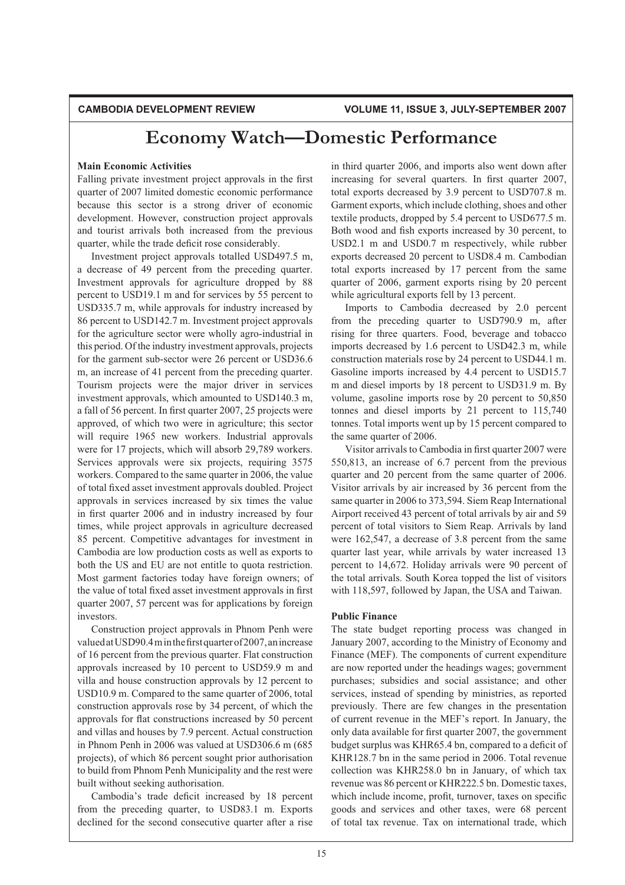# **Economy Watch—Domestic Performance**

#### **Main Economic Activities**

Falling private investment project approvals in the first quarter of 2007 limited domestic economic performance because this sector is a strong driver of economic development. However, construction project approvals and tourist arrivals both increased from the previous quarter, while the trade deficit rose considerably.

Investment project approvals totalled USD497.5 m, a decrease of 49 percent from the preceding quarter. Investment approvals for agriculture dropped by 88 percent to USD19.1 m and for services by 55 percent to USD335.7 m, while approvals for industry increased by 86 percent to USD142.7 m. Investment project approvals for the agriculture sector were wholly agro-industrial in this period. Of the industry investment approvals, projects for the garment sub-sector were 26 percent or USD36.6 m, an increase of 41 percent from the preceding quarter. Tourism projects were the major driver in services investment approvals, which amounted to USD140.3 m, a fall of 56 percent. In first quarter 2007, 25 projects were approved, of which two were in agriculture; this sector will require 1965 new workers. Industrial approvals were for 17 projects, which will absorb 29,789 workers. Services approvals were six projects, requiring 3575 workers. Compared to the same quarter in 2006, the value of total fixed asset investment approvals doubled. Project approvals in services increased by six times the value in first quarter 2006 and in industry increased by four times, while project approvals in agriculture decreased 85 percent. Competitive advantages for investment in Cambodia are low production costs as well as exports to both the US and EU are not entitle to quota restriction. Most garment factories today have foreign owners; of the value of total fixed asset investment approvals in first quarter 2007, 57 percent was for applications by foreign investors.

Construction project approvals in Phnom Penh were valued at USD90.4 m in the first quarter of 2007, an increase of 16 percent from the previous quarter. Flat construction approvals increased by 10 percent to USD59.9 m and villa and house construction approvals by 12 percent to USD10.9 m. Compared to the same quarter of 2006, total construction approvals rose by 34 percent, of which the approvals for flat constructions increased by 50 percent and villas and houses by 7.9 percent. Actual construction in Phnom Penh in 2006 was valued at USD306.6 m (685 projects), of which 86 percent sought prior authorisation to build from Phnom Penh Municipality and the rest were built without seeking authorisation.

Cambodia's trade deficit increased by 18 percent from the preceding quarter, to USD83.1 m. Exports declined for the second consecutive quarter after a rise in third quarter 2006, and imports also went down after increasing for several quarters. In first quarter 2007, total exports decreased by 3.9 percent to USD707.8 m. Garment exports, which include clothing, shoes and other textile products, dropped by  $5.4$  percent to USD677.5 m. Both wood and fish exports increased by 30 percent, to USD2.1 m and USD0.7 m respectively, while rubber exports decreased 20 percent to USD8.4 m. Cambodian total exports increased by 17 percent from the same quarter of 2006, garment exports rising by 20 percent while agricultural exports fell by 13 percent.

Imports to Cambodia decreased by 2.0 percent from the preceding quarter to USD790.9 m, after rising for three quarters. Food, beverage and tobacco imports decreased by 1.6 percent to USD42.3 m, while construction materials rose by 24 percent to USD44.1 m. Gasoline imports increased by 4.4 percent to USD15.7 m and diesel imports by 18 percent to USD31.9 m. By volume, gasoline imports rose by 20 percent to 50,850 tonnes and diesel imports by 21 percent to 115,740 tonnes. Total imports went up by 15 percent compared to the same quarter of 2006.

Visitor arrivals to Cambodia in first quarter 2007 were 550,813, an increase of 6.7 percent from the previous quarter and 20 percent from the same quarter of 2006. Visitor arrivals by air increased by 36 percent from the same quarter in 2006 to 373,594. Siem Reap International Airport received 43 percent of total arrivals by air and 59 percent of total visitors to Siem Reap. Arrivals by land were 162,547, a decrease of 3.8 percent from the same quarter last year, while arrivals by water increased 13 percent to 14,672. Holiday arrivals were 90 percent of the total arrivals. South Korea topped the list of visitors with 118,597, followed by Japan, the USA and Taiwan.

#### **Public Finance**

The state budget reporting process was changed in January 2007, according to the Ministry of Economy and Finance (MEF). The components of current expenditure are now reported under the headings wages; government purchases; subsidies and social assistance; and other services, instead of spending by ministries, as reported previously. There are few changes in the presentation of current revenue in the MEF's report. In January, the only data available for first quarter 2007, the government budget surplus was KHR65.4 bn, compared to a deficit of KHR128.7 bn in the same period in 2006. Total revenue collection was KHR258.0 bn in January, of which tax revenue was 86 percent or KHR222.5 bn. Domestic taxes, which include income, profit, turnover, taxes on specific goods and services and other taxes, were 68 percent of total tax revenue. Tax on international trade, which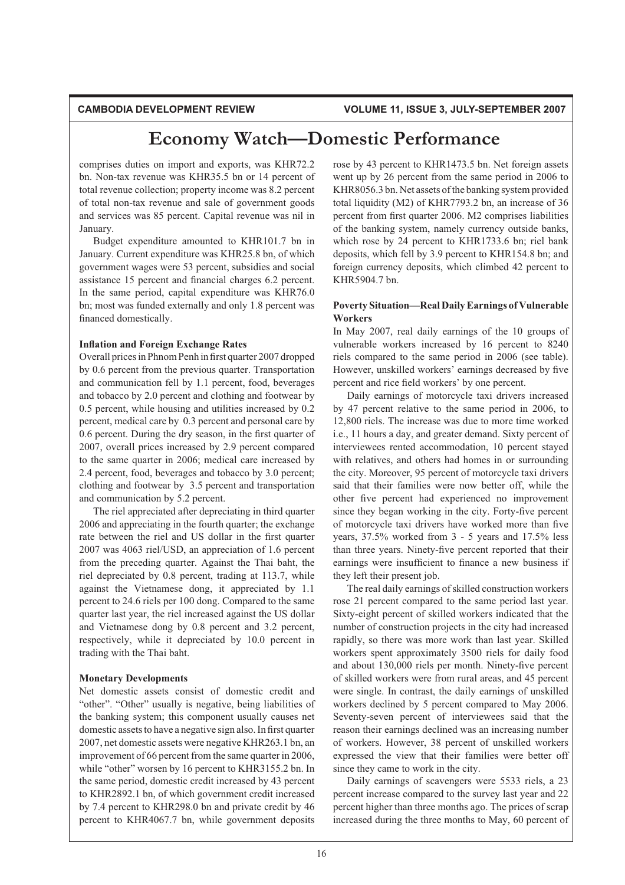## **Economy Watch—Domestic Performance**

comprises duties on import and exports, was KHR72.2 bn. Non-tax revenue was KHR35.5 bn or 14 percent of total revenue collection; property income was 8.2 percent of total non-tax revenue and sale of government goods and services was 85 percent. Capital revenue was nil in January.

Budget expenditure amounted to KHR101.7 bn in January. Current expenditure was KHR25.8 bn, of which government wages were 53 percent, subsidies and social assistance 15 percent and financial charges 6.2 percent. In the same period, capital expenditure was KHR76.0 bn; most was funded externally and only 1.8 percent was financed domestically.

#### **Inflation and Foreign Exchange Rates**

Overall prices in Phnom Penh in first quarter 2007 dropped by 0.6 percent from the previous quarter. Transportation and communication fell by 1.1 percent, food, beverages and tobacco by 2.0 percent and clothing and footwear by 0.5 percent, while housing and utilities increased by 0.2 percent, medical care by 0.3 percent and personal care by  $0.6$  percent. During the dry season, in the first quarter of 2007, overall prices increased by 2.9 percent compared to the same quarter in 2006; medical care increased by 2.4 percent, food, beverages and tobacco by 3.0 percent; clothing and footwear by 3.5 percent and transportation and communication by 5.2 percent.

The riel appreciated after depreciating in third quarter 2006 and appreciating in the fourth quarter; the exchange rate between the riel and US dollar in the first quarter 2007 was 4063 riel/USD, an appreciation of 1.6 percent from the preceding quarter. Against the Thai baht, the riel depreciated by 0.8 percent, trading at 113.7, while against the Vietnamese dong, it appreciated by 1.1 percent to 24.6 riels per 100 dong. Compared to the same quarter last year, the riel increased against the US dollar and Vietnamese dong by 0.8 percent and 3.2 percent, respectively, while it depreciated by 10.0 percent in trading with the Thai baht.

### **Monetary Developments**

Net domestic assets consist of domestic credit and "other". "Other" usually is negative, being liabilities of the banking system; this component usually causes net domestic assets to have a negative sign also. In first quarter 2007, net domestic assets were negative KHR263.1 bn, an improvement of 66 percent from the same quarter in 2006, while "other" worsen by 16 percent to KHR3155.2 bn. In the same period, domestic credit increased by 43 percent to KHR2892.1 bn, of which government credit increased by 7.4 percent to KHR298.0 bn and private credit by 46 percent to KHR4067.7 bn, while government deposits

rose by 43 percent to KHR1473.5 bn. Net foreign assets went up by 26 percent from the same period in 2006 to KHR8056.3 bn. Net assets of the banking system provided total liquidity (M2) of KHR7793.2 bn, an increase of 36 percent from first quarter 2006. M2 comprises liabilities of the banking system, namely currency outside banks, which rose by 24 percent to KHR1733.6 bn; riel bank deposits, which fell by 3.9 percent to KHR154.8 bn; and foreign currency deposits, which climbed 42 percent to KHR5904.7 bn.

#### **Poverty Situation—Real Daily Earnings of Vulnerable Workers**

In May 2007, real daily earnings of the 10 groups of vulnerable workers increased by 16 percent to 8240 riels compared to the same period in 2006 (see table). However, unskilled workers' earnings decreased by five percent and rice field workers' by one percent.

Daily earnings of motorcycle taxi drivers increased by 47 percent relative to the same period in 2006, to 12,800 riels. The increase was due to more time worked i.e., 11 hours a day, and greater demand. Sixty percent of interviewees rented accommodation, 10 percent stayed with relatives, and others had homes in or surrounding the city. Moreover, 95 percent of motorcycle taxi drivers said that their families were now better off, while the other five percent had experienced no improvement since they began working in the city. Forty-five percent of motorcycle taxi drivers have worked more than five years, 37.5% worked from 3 - 5 years and 17.5% less than three years. Ninety-five percent reported that their earnings were insufficient to finance a new business if they left their present job.

The real daily earnings of skilled construction workers rose 21 percent compared to the same period last year. Sixty-eight percent of skilled workers indicated that the number of construction projects in the city had increased rapidly, so there was more work than last year. Skilled workers spent approximately 3500 riels for daily food and about 130,000 riels per month. Ninety-five percent of skilled workers were from rural areas, and 45 percent were single. In contrast, the daily earnings of unskilled workers declined by 5 percent compared to May 2006. Seventy-seven percent of interviewees said that the reason their earnings declined was an increasing number of workers. However, 38 percent of unskilled workers expressed the view that their families were better off since they came to work in the city.

Daily earnings of scavengers were 5533 riels, a 23 percent increase compared to the survey last year and 22 percent higher than three months ago. The prices of scrap increased during the three months to May, 60 percent of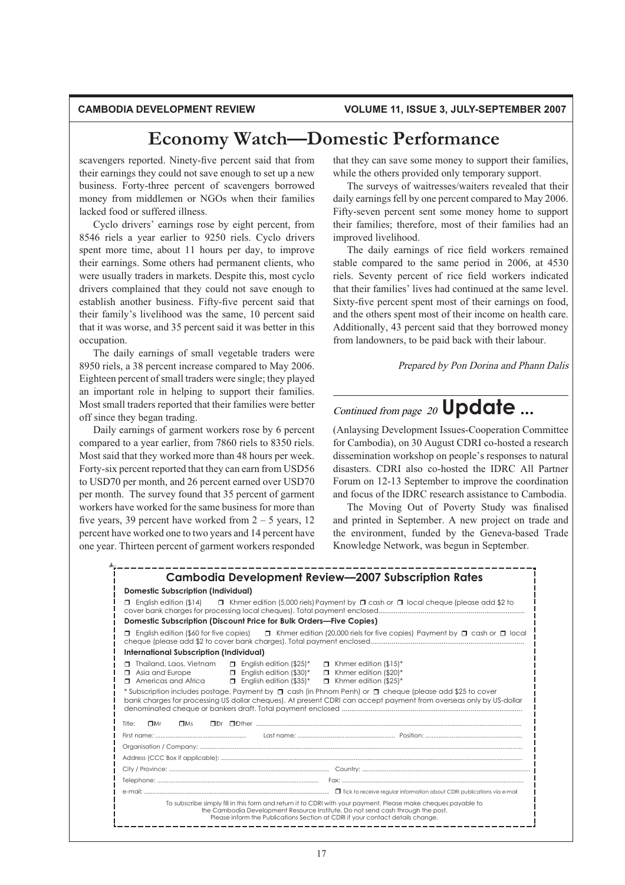# **Economy Watch—Domestic Performance**

scavengers reported. Ninety-five percent said that from their earnings they could not save enough to set up a new business. Forty-three percent of scavengers borrowed money from middlemen or NGOs when their families lacked food or suffered illness.

Cyclo drivers' earnings rose by eight percent, from 8546 riels a year earlier to 9250 riels. Cyclo drivers spent more time, about 11 hours per day, to improve their earnings. Some others had permanent clients, who were usually traders in markets. Despite this, most cyclo drivers complained that they could not save enough to establish another business. Fifty-five percent said that their family's livelihood was the same, 10 percent said that it was worse, and 35 percent said it was better in this occupation.

The daily earnings of small vegetable traders were 8950 riels, a 38 percent increase compared to May 2006. Eighteen percent of small traders were single; they played an important role in helping to support their families. Most small traders reported that their families were better off since they began trading.

Daily earnings of garment workers rose by 6 percent compared to a year earlier, from 7860 riels to 8350 riels. Most said that they worked more than 48 hours per week. Forty-six percent reported that they can earn from USD56 to USD70 per month, and 26 percent earned over USD70 per month. The survey found that 35 percent of garment workers have worked for the same business for more than five years, 39 percent have worked from  $2-5$  years, 12 percent have worked one to two years and 14 percent have one year. Thirteen percent of garment workers responded that they can save some money to support their families, while the others provided only temporary support.

The surveys of waitresses/waiters revealed that their daily earnings fell by one percent compared to May 2006. Fifty-seven percent sent some money home to support their families; therefore, most of their families had an improved livelihood.

The daily earnings of rice field workers remained stable compared to the same period in 2006, at 4530 riels. Seventy percent of rice field workers indicated that their families' lives had continued at the same level. Sixty-five percent spent most of their earnings on food, and the others spent most of their income on health care. Additionally, 43 percent said that they borrowed money from landowners, to be paid back with their labour.

Prepared by Pon Dorina and Phann Dalis

# Continued from page 20 **Update ...**

(Anlaysing Development Issues-Cooperation Committee for Cambodia), on 30 August CDRI co-hosted a research dissemination workshop on people's responses to natural disasters. CDRI also co-hosted the IDRC All Partner Forum on 12-13 September to improve the coordination and focus of the IDRC research assistance to Cambodia.

The Moving Out of Poverty Study was finalised and printed in September. A new project on trade and the environment, funded by the Geneva-based Trade Knowledge Network, was begun in September.

| <b>Cambodia Development Review-2007 Subscription Rates</b>                                                                                                                                                                                                                             |
|----------------------------------------------------------------------------------------------------------------------------------------------------------------------------------------------------------------------------------------------------------------------------------------|
| <b>Domestic Subscription (Individual)</b>                                                                                                                                                                                                                                              |
| <b><math>\Box</math></b> English edition (\$14) $\Box$ Khmer edition (5,000 riels) Payment by $\Box$ cash or $\Box$ local cheque (please add \$2 to                                                                                                                                    |
| Domestic Subscription (Discount Price for Bulk Orders—Five Copies)                                                                                                                                                                                                                     |
| $\Box$ English edition (\$60 for five copies) $\Box$ Khmer edition (20,000 riels for five copies) Payment by $\Box$ cash or $\Box$ local                                                                                                                                               |
| International Subscription (Individual)                                                                                                                                                                                                                                                |
| <b>I</b> Thailand, Laos, Vietnam <b>I</b> English edition $(\$25)^*$ <b>I</b> Khmer edition $(\$15)^*$<br>$\Box$ Asia and Europe $\Box$ English edition (\$30)* $\Box$ Khmer edition (\$20)*<br>$\Box$ Americas and Africa $\Box$ English edition (\$35)* $\Box$ Khmer edition (\$25)* |
| *Subscription includes postage. Payment by $\Box$ cash (in Phnom Penh) or $\Box$ cheque (please add \$25 to cover<br>bank charges for processing US dollar cheques). At present CDRI can accept payment from overseas only by US-dollar                                                |
| $\Box$ Mr<br>Title:<br>$\Box$ Ms                                                                                                                                                                                                                                                       |
|                                                                                                                                                                                                                                                                                        |
|                                                                                                                                                                                                                                                                                        |
|                                                                                                                                                                                                                                                                                        |
|                                                                                                                                                                                                                                                                                        |
|                                                                                                                                                                                                                                                                                        |
|                                                                                                                                                                                                                                                                                        |
| To subscribe simply fill in this form and return it to CDRI with your payment. Please make cheques payable to<br>the Cambodia Development Resource Institute. Do not send cash through the post.<br>Please inform the Publications Section at CDRI if your contact details change.     |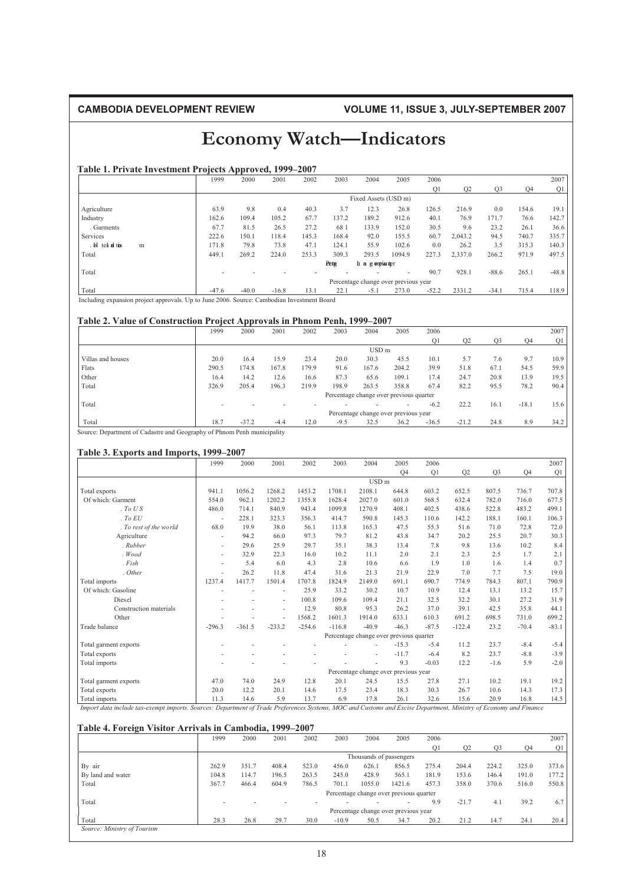## **CAMBODIA DEVELOPMENT REVIEW VOLUME 11, ISSUE 3, JULY-SEPTEMBER 2007**

# **Economy Watch—Indicators**

### **Table 1. Private Investment Projects Approved, 1999–2007**

|                     | 1999    | 2000    | 2001    | 2002  | 2003  | 2004                                 | 2005   | 2006           |         |                |       | 2007    |
|---------------------|---------|---------|---------|-------|-------|--------------------------------------|--------|----------------|---------|----------------|-------|---------|
|                     |         |         |         |       |       |                                      |        | Q <sub>1</sub> | Q2      | Q <sub>3</sub> | Q4    | Q1      |
|                     |         |         |         |       |       | Fixed Assets (USD m)                 |        |                |         |                |       |         |
| Agriculture         | 63.9    | 9.8     | 0.4     | 40.3  | 3.7   | 12.3                                 | 26.8   | 126.5          | 216.9   | 0.0            | 154.6 | 19.1    |
| Industry            | 162.6   | 109.4   | 105.2   | 67.7  | 137.2 | 189.2                                | 912.6  | 40.1           | 76.9    | 171.7          | 76.6  | 142.7   |
| . Garments          | 67.7    | 81.5    | 26.5    | 27.2  | 68 1  | 133.9                                | 152.0  | 30.5           | 9.6     | 23.2           | 26.1  | 36.6    |
| Services            | 222.6   | 150.1   | 118.4   | 145.3 | 168.4 | 92.0                                 | 155.5  | 60.7           | 2,043.2 | 94.5           | 740.7 | 335.7   |
| . bI tes d tos<br>m | 171.8   | 79.8    | 73.8    | 47.1  | 124.1 | 55.9                                 | 102.6  | 0.0            | 26.2    | 3.5            | 315.3 | 140.3   |
| Total               | 449.1   | 269.2   | 224.0   | 253.3 | 309.3 | 293.5                                | 1094.9 | 227.3          | 2,337.0 | 266.2          | 971.9 | 497.5   |
|                     |         |         |         |       | Petu  | h a gorpio ter                       |        |                |         |                |       |         |
| Total               |         |         |         |       |       |                                      | ٠      | 90.7           | 928.1   | $-88.6$        | 265.1 | $-48.8$ |
|                     |         |         |         |       |       | Percentage change over previous year |        |                |         |                |       |         |
| Total               | $-47.6$ | $-40.0$ | $-16.8$ | 13.1  | 22.1  | $-5.1$                               | 273.0  | $-52.2$        | 2331.2  | $-34.1$        | 715.4 | 118.9   |

Including expansion project approvals. Up to June 2006. Source: Cambodian Investment Board

#### **Table 2. Value of Construction Project Approvals in Phnom Penh, 1999–2007**

|                                                                         | 1999  | 2000    | 2001   | 2002  | 2003   | 2004             | 2005                                    | 2006           |         |                |         | 2007 |
|-------------------------------------------------------------------------|-------|---------|--------|-------|--------|------------------|-----------------------------------------|----------------|---------|----------------|---------|------|
|                                                                         |       |         |        |       |        |                  |                                         | Q <sub>1</sub> | Q2      | Q <sub>3</sub> | O4      | Q1   |
|                                                                         |       |         |        |       |        | USD <sub>m</sub> |                                         |                |         |                |         |      |
| Villas and houses                                                       | 20.0  | 16.4    | 15.9   | 23.4  | 20.0   | 30.3             | 45.5                                    | 10.1           | 5.7     | 7.6            | 9.7     | 10.9 |
| Flats                                                                   | 290.5 | 174.8   | 167.8  | 179.9 | 91.6   | 167.6            | 204.2                                   | 39.9           | 51.8    | 67.1           | 54.5    | 59.9 |
| Other                                                                   | 16.4  | 14.2    | 12.6   | 16.6  | 87.3   | 65.6             | 109.1                                   | 17.4           | 24.7    | 20.8           | 13.9    | 19.5 |
| Total                                                                   | 326.9 | 205.4   | 196.3  | 219.9 | 198.9  | 263.5            | 358.8                                   | 67.4           | 82.2    | 95.5           | 78.2    | 90.4 |
|                                                                         |       |         |        |       |        |                  | Percentage change over previous quarter |                |         |                |         |      |
| Total                                                                   |       |         |        |       |        |                  |                                         | $-6.2$         | 22.2    | 16.1           | $-18.1$ | 15.6 |
|                                                                         |       |         |        |       |        |                  | Percentage change over previous year    |                |         |                |         |      |
| Total                                                                   | 18.7  | $-37.2$ | $-4.4$ | 12.0  | $-9.5$ | 32.5             | 36.2                                    | $-36.5$        | $-21.2$ | 24.8           | 8.9     | 34.2 |
| Source: Department of Cadastre and Geography of Phnom Penh municipality |       |         |        |       |        |                  |                                         |                |         |                |         |      |

#### **Table 3. Exports and Imports, 1999–2007**

|          |          |          |          |          |         | <b>O4</b> | Q1               | Q2                                                                              | Q <sub>3</sub> | O <sub>4</sub> | Q1                                                                                                                                                               |
|----------|----------|----------|----------|----------|---------|-----------|------------------|---------------------------------------------------------------------------------|----------------|----------------|------------------------------------------------------------------------------------------------------------------------------------------------------------------|
|          |          |          |          |          |         |           |                  |                                                                                 |                |                |                                                                                                                                                                  |
| 941.1    | 1056.2   | 1268.2   | 1453.2   | 1708.1   | 2108.1  | 644.8     | 603.2            | 652.5                                                                           | 807.5          | 736.7          | 707.8                                                                                                                                                            |
| 554.0    | 962.1    | 1202.2   | 1355.8   | 1628.4   | 2027.0  | 601.0     | 568.5            | 632.4                                                                           | 782.0          | 716.0          | 677.5                                                                                                                                                            |
| 486.0    | 714.1    | 840.9    | 943.4    | 1099.8   | 1270.9  | 408.1     | 402.5            | 438.6                                                                           | 522.8          | 483.2          | 499.1                                                                                                                                                            |
|          | 228.1    | 323.3    | 356.3    | 414.7    | 590.8   | 145.3     | 110.6            | 142.2                                                                           | 188.1          | 160.1          | 106.3                                                                                                                                                            |
| 68.0     | 19.9     | 38.0     | 56.1     | 113.8    | 165.3   | 47.5      | 55.3             | 51.6                                                                            | 71.0           | 72.8           | 72.0                                                                                                                                                             |
| ٠        | 94.2     | 66.0     | 97.3     | 79.7     | 81.2    | 43.8      | 34.7             | 20.2                                                                            | 25.5           | 20.7           | 30.3                                                                                                                                                             |
|          | 29.6     | 25.9     | 29.7     | 35.1     | 38.3    | 13.4      | 7.8              | 9.8                                                                             | 13.6           | 10.2           | 8.4                                                                                                                                                              |
|          | 32.9     | 22.3     | 16.0     | 10.2     | 11.1    | 2.0       | 2.1              | 2.3                                                                             | 2.5            | 1.7            | 2.1                                                                                                                                                              |
|          | 5.4      | 6.0      | 4.3      | 2.8      | 10.6    | 6.6       | 1.9              | 1.0                                                                             | 1.6            | 1.4            | 0.7                                                                                                                                                              |
|          | 26.2     | 11.8     | 47.4     | 31.6     | 21.3    | 21.9      | 22.9             | 7.0                                                                             | 7.7            | 7.5            | 19.0                                                                                                                                                             |
| 1237.4   | 1417.7   | 1501.4   | 1707.8   | 1824.9   | 2149.0  | 691.1     | 690.7            | 774.9                                                                           | 784.3          | 807.1          | 790.9                                                                                                                                                            |
|          |          |          | 25.9     | 33.2     | 30.2    | 10.7      | 10.9             | 12.4                                                                            | 13.1           | 13.2           | 15.7                                                                                                                                                             |
|          |          |          | 100.8    | 109.6    | 109.4   | 21.1      | 32.5             | 32.2                                                                            | 30.1           | 27.2           | 31.9                                                                                                                                                             |
|          |          | ٠        | 12.9     | 80.8     | 95.3    | 26.2      | 37.0             | 39.1                                                                            | 42.5           | 35.8           | 44.1                                                                                                                                                             |
|          |          |          | 1568.2   | 1601.3   | 1914.0  | 633.1     | 610.3            | 691.2                                                                           | 698.5          | 731.0          | 699.2                                                                                                                                                            |
| $-296.3$ | $-361.5$ | $-233.2$ | $-254.6$ | $-116.8$ | $-40.9$ | $-46.3$   | $-87.5$          | $-122.4$                                                                        | 23.2           | $-70.4$        | $-83.1$                                                                                                                                                          |
|          |          |          |          |          |         |           |                  |                                                                                 |                |                |                                                                                                                                                                  |
|          |          |          |          |          |         | $-15.3$   | $-5.4$           | 11.2                                                                            | 23.7           | $-8.4$         | $-5.4$                                                                                                                                                           |
|          |          |          |          |          |         | $-11.7$   | $-6.4$           | 8.2                                                                             | 23.7           | $-8.8$         | $-3.9$                                                                                                                                                           |
|          |          |          |          |          |         | 9.3       | $-0.03$          | 12.2                                                                            | $-1.6$         | 5.9            | $-2.0$                                                                                                                                                           |
|          |          |          |          |          |         |           |                  |                                                                                 |                |                |                                                                                                                                                                  |
| 47.0     | 74.0     | 24.9     | 12.8     | 20.1     | 24.5    | 15.5      | 27.8             | 27.1                                                                            | 10.2           | 19.1           | 19.2                                                                                                                                                             |
| 20.0     | 12.2     | 20.1     | 14.6     | 17.5     | 23.4    | 18.3      | 30.3             | 26.7                                                                            | 10.6           | 14.3           | 17.3                                                                                                                                                             |
| 11.3     | 14.6     | 5.9      | 13.7     | 6.9      | 17.8    | 26.1      | 32.6             | 15.6                                                                            | 20.9           | 16.8           | 14.5                                                                                                                                                             |
|          |          |          |          |          |         |           | USD <sub>m</sub> | Percentage change over previous quarter<br>Percentage change over previous year |                |                | Import data include tax-exempt imports. Sources: Department of Trade Preferences Systems, MOC and Customs and Excise Department, Ministry of Economy and Finance |

#### **Table 4. Foreign Visitor Arrivals in Cambodia, 1999–2007**

|                             | 1999  | 2000  | 2001  | 2002  | 2003    | 2004   | 2005                                    | 2006           |                |                |       | 2007  |
|-----------------------------|-------|-------|-------|-------|---------|--------|-----------------------------------------|----------------|----------------|----------------|-------|-------|
|                             |       |       |       |       |         |        |                                         | Q <sub>1</sub> | Q <sub>2</sub> | Q <sub>3</sub> | O4    | Q1    |
|                             |       |       |       |       |         |        | Thousands of passengers                 |                |                |                |       |       |
| By air                      | 262.9 | 351.7 | 408.4 | 523.0 | 456.0   | 626.1  | 856.5                                   | 275.4          | 204.4          | 224.2          | 325.0 | 373.6 |
| By land and water           | 104.8 | 114.7 | 196.5 | 263.5 | 245.0   | 428.9  | 565.1                                   | 181.9          | 153.6          | 146.4          | 191.0 | 177.2 |
| Total                       | 367.7 | 466.4 | 604.9 | 786.5 | 701.1   | 1055.0 | 1421.6                                  | 457.3          | 358.0          | 370.6          | 516.0 | 550.8 |
|                             |       |       |       |       |         |        | Percentage change over previous quarter |                |                |                |       |       |
| Total                       | ۰     |       |       | ۰     |         |        | ۰                                       | 9.9            | $-21.7$        | 4.1            | 39.2  | 6.7   |
|                             |       |       |       |       |         |        | Percentage change over previous year    |                |                |                |       |       |
| Total                       | 28.3  | 26.8  | 29.7  | 30.0  | $-10.9$ | 50.5   | 34.7                                    | 20.2           | 21.2           | 14.7           | 24.1  | 20.4  |
| Source: Ministry of Tourism |       |       |       |       |         |        |                                         |                |                |                |       |       |